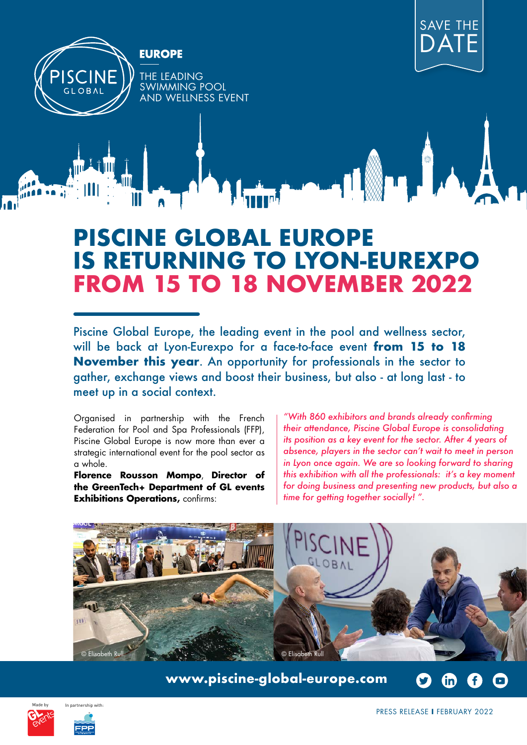



## **PISCINE GLOBAL EUROPE IS RETURNING TO LYON-EUREXPO FROM 15 TO 18 NOVEMBER 2022**

Piscine Global Europe, the leading event in the pool and wellness sector, will be back at Lyon-Eurexpo for a face-to-face event **from 15 to 18 November this year**. An opportunity for professionals in the sector to gather, exchange views and boost their business, but also - at long last - to meet up in a social context.

Organised in partnership with the French Federation for Pool and Spa Professionals (FFP), Piscine Global Europe is now more than ever a strategic international event for the pool sector as a whole.

**Florence Rousson Mompo**, **Director of the GreenTech+ Department of GL events Exhibitions Operations, confirms:** 

*"With 860 exhibitors and brands already confirming their attendance, Piscine Global Europe is consolidating its position as a key event for the sector. After 4 years of absence, players in the sector can't wait to meet in person in Lyon once again. We are so looking forward to sharing this exhibition with all the professionals: it's a key moment for doing business and presenting new products, but also a time for getting together socially! ".* 



**[www.piscine-global-europe.com](https://www.piscine-global-europe.com/en)**





PRESS RELEASE **I** FEBRUARY 2022

(in)

 $\Box$